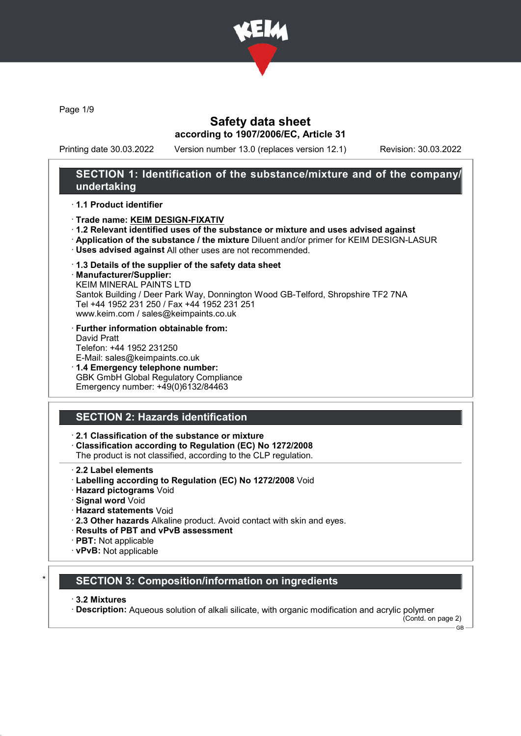

Page 1/9

## Safety data sheet according to 1907/2006/EC, Article 31

Printing date 30.03.2022 Version number 13.0 (replaces version 12.1) Revision: 30.03.2022

## SECTION 1: Identification of the substance/mixture and of the company/ undertaking

#### · 1.1 Product identifier

- · Trade name: KEIM DESIGN-FIXATIV
- · 1.2 Relevant identified uses of the substance or mixture and uses advised against
- · Application of the substance / the mixture Diluent and/or primer for KEIM DESIGN-LASUR
- · Uses advised against All other uses are not recommended.
- · 1.3 Details of the supplier of the safety data sheet
- · Manufacturer/Supplier:

KEIM MINERAL PAINTS LTD Santok Building / Deer Park Way, Donnington Wood GB-Telford, Shropshire TF2 7NA Tel +44 1952 231 250 / Fax +44 1952 231 251 www.keim.com / sales@keimpaints.co.uk

- · Further information obtainable from: David Pratt Telefon: +44 1952 231250 E-Mail: sales@keimpaints.co.uk
- · 1.4 Emergency telephone number: GBK GmbH Global Regulatory Compliance Emergency number: +49(0)6132/84463

## SECTION 2: Hazards identification

· 2.1 Classification of the substance or mixture

- · Classification according to Regulation (EC) No 1272/2008
- The product is not classified, according to the CLP regulation.
- · 2.2 Label elements
- · Labelling according to Regulation (EC) No 1272/2008 Void
- · Hazard pictograms Void
- · Signal word Void
- · Hazard statements Void
- · 2.3 Other hazards Alkaline product. Avoid contact with skin and eyes.
- · Results of PBT and vPvB assessment
- · PBT: Not applicable
- · vPvB: Not applicable

### **SECTION 3: Composition/information on ingredients**

#### · 3.2 Mixtures

· Description: Aqueous solution of alkali silicate, with organic modification and acrylic polymer

(Contd. on page 2) GB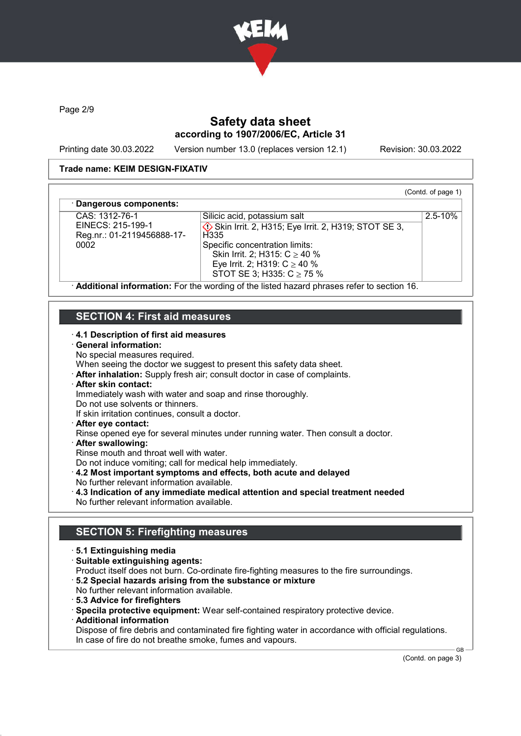

Page 2/9

## Safety data sheet according to 1907/2006/EC, Article 31

Printing date 30.03.2022 Version number 13.0 (replaces version 12.1) Revision: 30.03.2022

(Contd. of page 1)

2.5-10%

### Trade name: KEIM DESIGN-FIXATIV

#### Dangerous components:

CAS: 1312-76-1 EINECS: 215-199-1 Reg.nr.: 01-2119456888-17- 0002

**♦ Skin Irrit. 2, H315; Eye Irrit. 2, H319; STOT SE 3, H335** Specific concentration limits: Skin Irrit. 2; H315: C ≥ 40 % Eye Irrit. 2; H319: C ≥ 40 % STOT SE 3; H335: C ≥ 75 %

Silicic acid, potassium salt

· Additional information: For the wording of the listed hazard phrases refer to section 16.

## SECTION 4: First aid measures

### · 4.1 Description of first aid measures

#### · General information:

No special measures required.

When seeing the doctor we suggest to present this safety data sheet.

· After inhalation: Supply fresh air; consult doctor in case of complaints.

## · After skin contact:

Immediately wash with water and soap and rinse thoroughly.

Do not use solvents or thinners.

If skin irritation continues, consult a doctor.

· After eye contact:

Rinse opened eye for several minutes under running water. Then consult a doctor.

- After swallowing:
- Rinse mouth and throat well with water.

Do not induce vomiting; call for medical help immediately.

· 4.2 Most important symptoms and effects, both acute and delayed

- No further relevant information available.
- · 4.3 Indication of any immediate medical attention and special treatment needed No further relevant information available.

## SECTION 5: Firefighting measures

- · 5.1 Extinguishing media
- · Suitable extinguishing agents:

Product itself does not burn. Co-ordinate fire-fighting measures to the fire surroundings.

- · 5.2 Special hazards arising from the substance or mixture
- No further relevant information available.
- · 5.3 Advice for firefighters

· Specila protective equipment: Wear self-contained respiratory protective device.

· Additional information

Dispose of fire debris and contaminated fire fighting water in accordance with official regulations. In case of fire do not breathe smoke, fumes and vapours.

(Contd. on page 3)

GB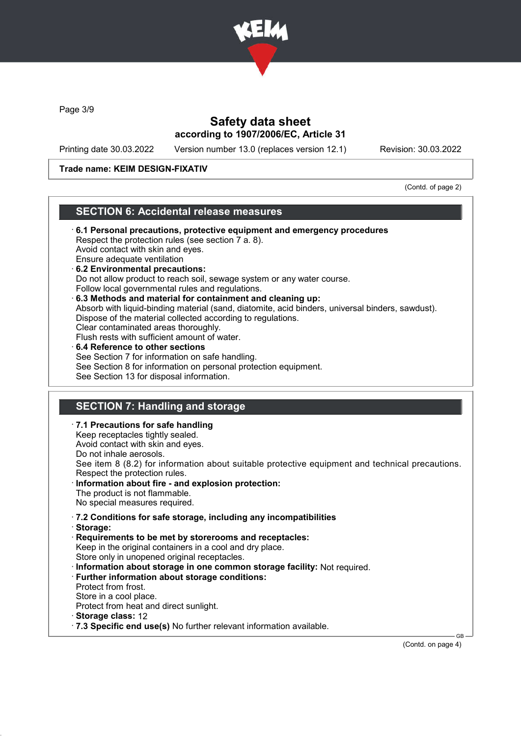

Page 3/9

## Safety data sheet according to 1907/2006/EC, Article 31

Printing date 30.03.2022 Version number 13.0 (replaces version 12.1) Revision: 30.03.2022

### Trade name: KEIM DESIGN-FIXATIV

(Contd. of page 2)

### SECTION 6: Accidental release measures

- · 6.1 Personal precautions, protective equipment and emergency procedures Respect the protection rules (see section 7 a. 8). Avoid contact with skin and eyes. Ensure adequate ventilation · 6.2 Environmental precautions: Do not allow product to reach soil, sewage system or any water course. Follow local governmental rules and regulations. · 6.3 Methods and material for containment and cleaning up: Absorb with liquid-binding material (sand, diatomite, acid binders, universal binders, sawdust). Dispose of the material collected according to regulations. Clear contaminated areas thoroughly. Flush rests with sufficient amount of water. 6.4 Reference to other sections See Section 7 for information on safe handling. See Section 8 for information on personal protection equipment. See Section 13 for disposal information. SECTION 7: Handling and storage · 7.1 Precautions for safe handling
- Keep receptacles tightly sealed. Avoid contact with skin and eyes. Do not inhale aerosols. See item 8 (8.2) for information about suitable protective equipment and technical precautions. Respect the protection rules. Information about fire - and explosion protection: The product is not flammable. No special measures required. · 7.2 Conditions for safe storage, including any incompatibilities · Storage: · Requirements to be met by storerooms and receptacles: Keep in the original containers in a cool and dry place. Store only in unopened original receptacles. · Information about storage in one common storage facility: Not required.
	- · Further information about storage conditions:
	- Protect from frost.
	- Store in a cool place.
	- Protect from heat and direct sunlight.
	- · Storage class: 12
	- · 7.3 Specific end use(s) No further relevant information available.

(Contd. on page 4)

GB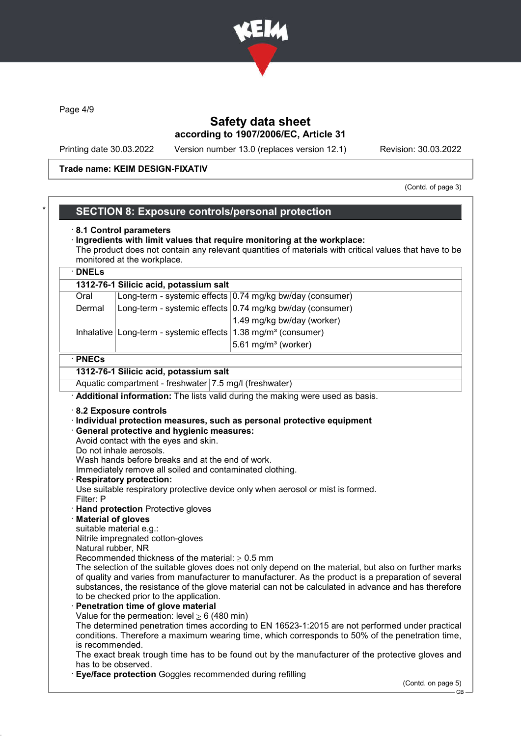

Page 4/9

## Safety data sheet according to 1907/2006/EC, Article 31

Printing date 30.03.2022 Version number 13.0 (replaces version 12.1) Revision: 30.03.2022

#### Trade name: KEIM DESIGN-FIXATIV

(Contd. of page 3)

### SECTION 8: Exposure controls/personal protection

#### · 8.1 Control parameters

#### · Ingredients with limit values that require monitoring at the workplace: The product does not contain any relevant quantities of materials with critical values that have to be monitored at the workplace.

# · DNELs 1312-76-1 Silicic acid, potassium salt Oral Long-term - systemic effects 0.74 mg/kg bw/day (consumer) Dermal | Long-term - systemic effects 0.74 mg/kg bw/day (consumer) 1.49 mg/kg bw/day (worker) Inhalative Long-term - systemic effects  $1.38$  mg/m<sup>3</sup> (consumer)  $5.61$  mg/m $3$  (worker)

### · PNECs

### 1312-76-1 Silicic acid, potassium salt

Aquatic compartment - freshwater 7.5 mg/l (freshwater)

· Additional information: The lists valid during the making were used as basis.

#### · 8.2 Exposure controls

· Individual protection measures, such as personal protective equipment

#### · General protective and hygienic measures:

Avoid contact with the eyes and skin.

Do not inhale aerosols.

Wash hands before breaks and at the end of work.

Immediately remove all soiled and contaminated clothing.

**Respiratory protection:** 

Use suitable respiratory protective device only when aerosol or mist is formed. Filter: P

- · Hand protection Protective gloves
- **Material of gloves**
- suitable material e.g.:

Nitrile impregnated cotton-gloves

Natural rubber, NR

Recommended thickness of the material:  $\geq 0.5$  mm

The selection of the suitable gloves does not only depend on the material, but also on further marks of quality and varies from manufacturer to manufacturer. As the product is a preparation of several substances, the resistance of the glove material can not be calculated in advance and has therefore to be checked prior to the application.

#### Penetration time of glove material

Value for the permeation: level  $\geq 6$  (480 min)

The determined penetration times according to EN 16523-1:2015 are not performed under practical conditions. Therefore a maximum wearing time, which corresponds to 50% of the penetration time, is recommended.

The exact break trough time has to be found out by the manufacturer of the protective gloves and has to be observed.

**Eye/face protection** Goggles recommended during refilling

(Contd. on page 5)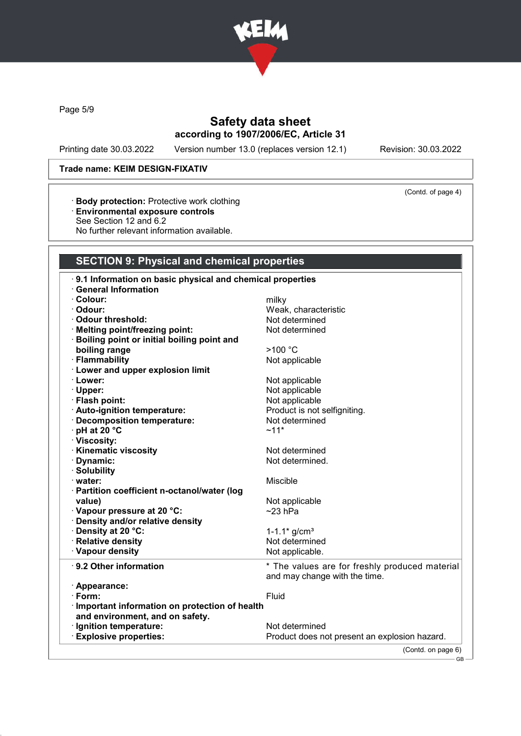

Page 5/9

# Safety data sheet according to 1907/2006/EC, Article 31

Printing date 30.03.2022 Version number 13.0 (replaces version 12.1) Revision: 30.03.2022

(Contd. of page 4)

### Trade name: KEIM DESIGN-FIXATIV

- · Body protection: Protective work clothing
- · Environmental exposure controls
- See Section 12 and 6.2
- No further relevant information available.

# SECTION 9: Physical and chemical properties

| 9.1 Information on basic physical and chemical properties |                                                |
|-----------------------------------------------------------|------------------------------------------------|
| <b>General Information</b>                                |                                                |
| · Colour:                                                 | milky                                          |
| · Odour:                                                  | Weak, characteristic                           |
| Odour threshold:                                          | Not determined                                 |
| · Melting point/freezing point:                           | Not determined                                 |
| · Boiling point or initial boiling point and              |                                                |
| boiling range                                             | >100 °C                                        |
| · Flammability                                            | Not applicable                                 |
| · Lower and upper explosion limit                         |                                                |
| · Lower:                                                  | Not applicable                                 |
| · Upper:                                                  | Not applicable                                 |
| · Flash point:                                            | Not applicable                                 |
| · Auto-ignition temperature:                              | Product is not selfigniting.                   |
| · Decomposition temperature:                              | Not determined                                 |
| · pH at 20 °C                                             | $~11*$                                         |
| · Viscosity:                                              |                                                |
| · Kinematic viscosity                                     | Not determined                                 |
| · Dynamic:                                                | Not determined.                                |
| · Solubility                                              |                                                |
| · water:                                                  | Miscible                                       |
| · Partition coefficient n-octanol/water (log              |                                                |
| value)                                                    | Not applicable                                 |
| Vapour pressure at 20 °C:                                 | $~23$ hPa                                      |
| · Density and/or relative density                         |                                                |
| · Density at 20 °C:                                       | 1-1.1 $*$ g/cm <sup>3</sup>                    |
| · Relative density                                        | Not determined                                 |
| · Vapour density                                          | Not applicable.                                |
| ⋅ 9.2 Other information                                   | * The values are for freshly produced material |
|                                                           | and may change with the time.                  |
| · Appearance:                                             |                                                |
| $\cdot$ Form:                                             | Fluid                                          |
| · Important information on protection of health           |                                                |
| and environment, and on safety.                           |                                                |
| · Ignition temperature:                                   | Not determined                                 |
| <b>Explosive properties:</b>                              | Product does not present an explosion hazard.  |
|                                                           | (Contd. on page 6)                             |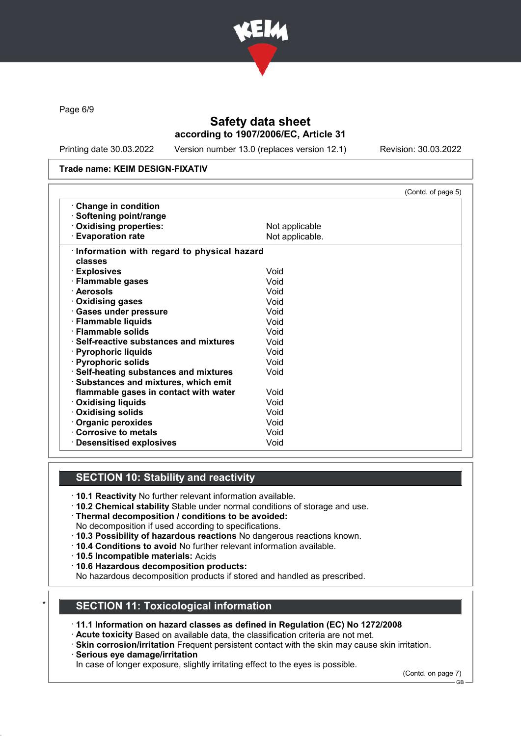

Page 6/9

## Safety data sheet according to 1907/2006/EC, Article 31

Printing date 30.03.2022 Version number 13.0 (replaces version 12.1) Revision: 30.03.2022

#### Trade name: KEIM DESIGN-FIXATIV

|                                               | (Contd. of page 5) |
|-----------------------------------------------|--------------------|
| <b>Change in condition</b>                    |                    |
| · Softening point/range                       |                    |
| Oxidising properties:                         | Not applicable     |
| <b>Evaporation rate</b>                       | Not applicable.    |
| Information with regard to physical hazard    |                    |
| classes                                       |                    |
| · Explosives                                  | Void               |
| · Flammable gases                             | Void               |
| · Aerosols                                    | Void               |
| <b>Oxidising gases</b>                        | Void               |
| · Gases under pressure                        | Void               |
| · Flammable liquids                           | Void               |
| $\cdot$ Flammable solids                      | Void               |
| $\cdot$ Self-reactive substances and mixtures | Void               |
| · Pyrophoric liquids                          | Void               |
| · Pyrophoric solids                           | Void               |
| · Self-heating substances and mixtures        | Void               |
| · Substances and mixtures, which emit         |                    |
| flammable gases in contact with water         | Void               |
| <b>Oxidising liquids</b>                      | Void               |
| <b>Oxidising solids</b>                       | Void               |
| Organic peroxides                             | Void               |
| Corrosive to metals                           | Void               |
| <b>Desensitised explosives</b>                | Void               |

## SECTION 10: Stability and reactivity

- · 10.1 Reactivity No further relevant information available.
- · 10.2 Chemical stability Stable under normal conditions of storage and use.
- · Thermal decomposition / conditions to be avoided:
- No decomposition if used according to specifications.
- · 10.3 Possibility of hazardous reactions No dangerous reactions known.
- · 10.4 Conditions to avoid No further relevant information available.
- · 10.5 Incompatible materials: Acids
- · 10.6 Hazardous decomposition products:
- No hazardous decomposition products if stored and handled as prescribed.

### SECTION 11: Toxicological information

- · 11.1 Information on hazard classes as defined in Regulation (EC) No 1272/2008
- · Acute toxicity Based on available data, the classification criteria are not met.
- · Skin corrosion/irritation Frequent persistent contact with the skin may cause skin irritation.
- · Serious eye damage/irritation

In case of longer exposure, slightly irritating effect to the eyes is possible.

(Contd. on page 7)

GB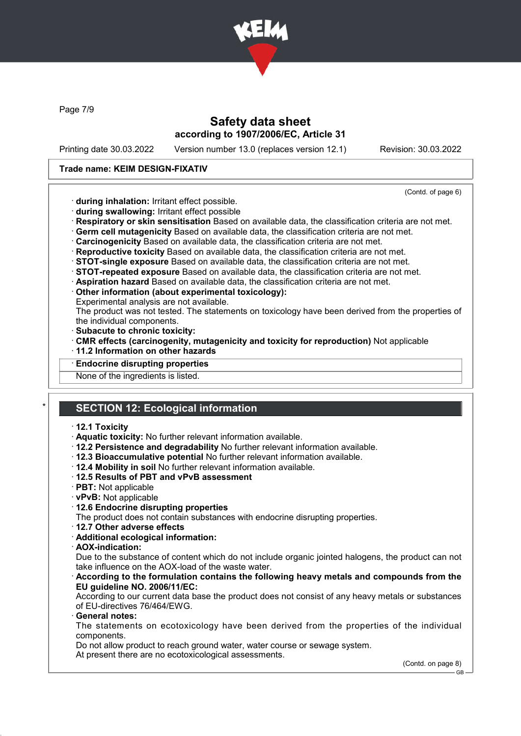

Page 7/9

## Safety data sheet according to 1907/2006/EC, Article 31

Printing date 30.03.2022 Version number 13.0 (replaces version 12.1) Revision: 30.03.2022

### Trade name: KEIM DESIGN-FIXATIV

(Contd. of page 6)

- · during inhalation: Irritant effect possible.
- · during swallowing: Irritant effect possible
- · Respiratory or skin sensitisation Based on available data, the classification criteria are not met.
- · Germ cell mutagenicity Based on available data, the classification criteria are not met.
- · Carcinogenicity Based on available data, the classification criteria are not met.
- · Reproductive toxicity Based on available data, the classification criteria are not met.
- · STOT-single exposure Based on available data, the classification criteria are not met.
- · STOT-repeated exposure Based on available data, the classification criteria are not met.
- · Aspiration hazard Based on available data, the classification criteria are not met.
- · Other information (about experimental toxicology):
- Experimental analysis are not available.

The product was not tested. The statements on toxicology have been derived from the properties of the individual components.

- · Subacute to chronic toxicity:
- · CMR effects (carcinogenity, mutagenicity and toxicity for reproduction) Not applicable
- · 11.2 Information on other hazards
- **Endocrine disrupting properties**

None of the ingredients is listed.

# **SECTION 12: Ecological information**

#### · 12.1 Toxicity

- · Aquatic toxicity: No further relevant information available.
- · 12.2 Persistence and degradability No further relevant information available.
- · 12.3 Bioaccumulative potential No further relevant information available.
- · 12.4 Mobility in soil No further relevant information available.
- · 12.5 Results of PBT and vPvB assessment
- · PBT: Not applicable
- · vPvB: Not applicable
- · 12.6 Endocrine disrupting properties
- The product does not contain substances with endocrine disrupting properties.
- · 12.7 Other adverse effects
- · Additional ecological information:
- · AOX-indication:

Due to the substance of content which do not include organic jointed halogens, the product can not take influence on the AOX-load of the waste water.

· According to the formulation contains the following heavy metals and compounds from the EU guideline NO. 2006/11/EC:

According to our current data base the product does not consist of any heavy metals or substances of EU-directives 76/464/EWG.

General notes:

The statements on ecotoxicology have been derived from the properties of the individual components.

Do not allow product to reach ground water, water course or sewage system.

At present there are no ecotoxicological assessments.

(Contd. on page 8)

GB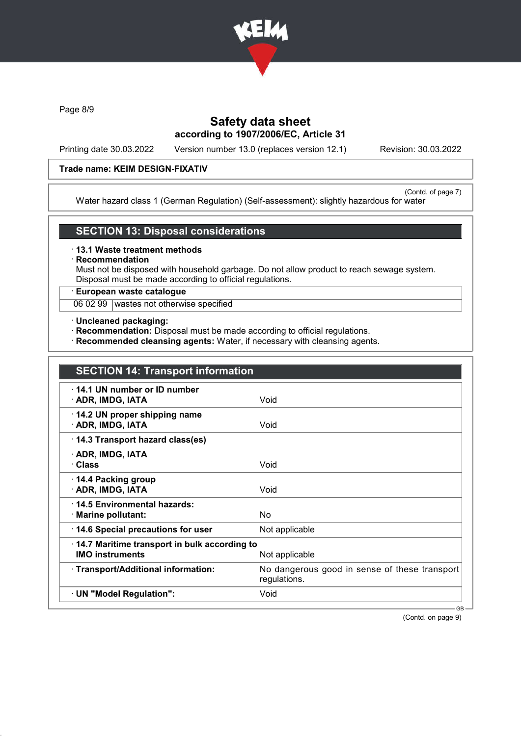

Page 8/9

## Safety data sheet according to 1907/2006/EC, Article 31

Printing date 30.03.2022 Version number 13.0 (replaces version 12.1) Revision: 30.03.2022

### Trade name: KEIM DESIGN-FIXATIV

(Contd. of page 7) Water hazard class 1 (German Regulation) (Self-assessment): slightly hazardous for water

### SECTION 13: Disposal considerations

· 13.1 Waste treatment methods

## **Recommendation**

Must not be disposed with household garbage. Do not allow product to reach sewage system. Disposal must be made according to official regulations.

### · European waste catalogue

06 02 99 wastes not otherwise specified

- · Uncleaned packaging:
- · Recommendation: Disposal must be made according to official regulations.
- · Recommended cleansing agents: Water, if necessary with cleansing agents.

| <b>SECTION 14: Transport information</b>                               |                                                               |
|------------------------------------------------------------------------|---------------------------------------------------------------|
| $\cdot$ 14.1 UN number or ID number<br>· ADR, IMDG, IATA               | Void                                                          |
| 14.2 UN proper shipping name<br>· ADR, IMDG, IATA                      | Void                                                          |
| 14.3 Transport hazard class(es)                                        |                                                               |
| · ADR, IMDG, IATA<br>· Class                                           | Void                                                          |
| ⋅ 14.4 Packing group<br>· ADR, IMDG, IATA                              | Void                                                          |
| 14.5 Environmental hazards:<br>· Marine pollutant:                     | No                                                            |
| 14.6 Special precautions for user                                      | Not applicable                                                |
| 14.7 Maritime transport in bulk according to<br><b>IMO instruments</b> | Not applicable                                                |
| · Transport/Additional information:                                    | No dangerous good in sense of these transport<br>regulations. |
| · UN "Model Regulation":                                               | Void                                                          |

(Contd. on page 9)

GB